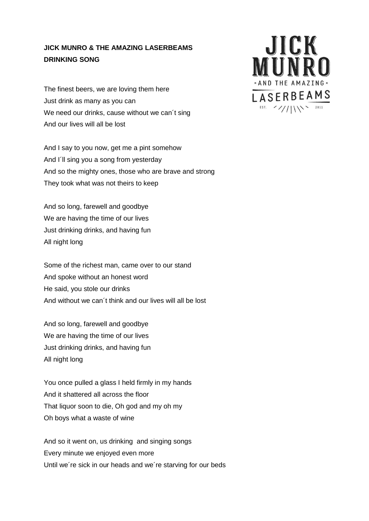## **JICK MUNRO & THE AMAZING LASERBEAMS DRINKING SONG**

The finest beers, we are loving them here Just drink as many as you can We need our drinks, cause without we can't sing And our lives will all be lost

And I say to you now, get me a pint somehow And I´ll sing you a song from yesterday And so the mighty ones, those who are brave and strong They took what was not theirs to keep

And so long, farewell and goodbye We are having the time of our lives Just drinking drinks, and having fun All night long

Some of the richest man, came over to our stand And spoke without an honest word He said, you stole our drinks And without we can´t think and our lives will all be lost

And so long, farewell and goodbye We are having the time of our lives Just drinking drinks, and having fun All night long

You once pulled a glass I held firmly in my hands And it shattered all across the floor That liquor soon to die, Oh god and my oh my Oh boys what a waste of wine

And so it went on, us drinking and singing songs Every minute we enjoyed even more Until we´re sick in our heads and we´re starving for our beds